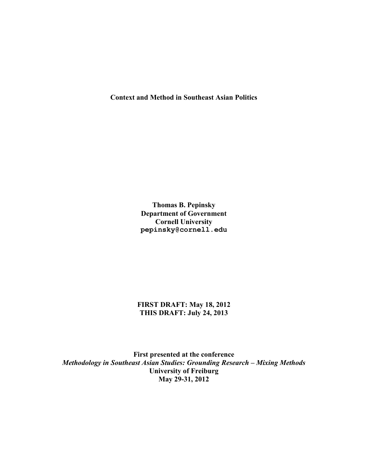**Context and Method in Southeast Asian Politics**

**Thomas B. Pepinsky Department of Government Cornell University pepinsky@cornell.edu**

**FIRST DRAFT: May 18, 2012 THIS DRAFT: July 24, 2013**

**First presented at the conference** *Methodology in Southeast Asian Studies: Grounding Research – Mixing Methods* **University of Freiburg May 29-31, 2012**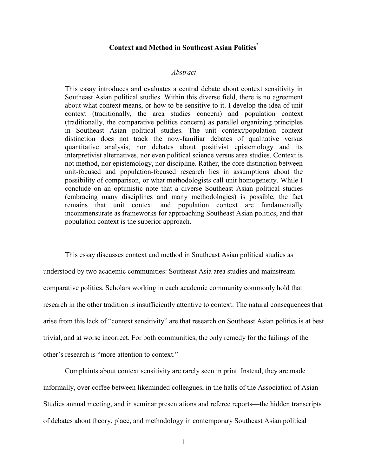# **Context and Method in Southeast Asian Politics\***

### *Abstract*

This essay introduces and evaluates a central debate about context sensitivity in Southeast Asian political studies. Within this diverse field, there is no agreement about what context means, or how to be sensitive to it. I develop the idea of unit context (traditionally, the area studies concern) and population context (traditionally, the comparative politics concern) as parallel organizing principles in Southeast Asian political studies. The unit context/population context distinction does not track the now-familiar debates of qualitative versus quantitative analysis, nor debates about positivist epistemology and its interpretivist alternatives, nor even political science versus area studies. Context is not method, nor epistemology, nor discipline. Rather, the core distinction between unit-focused and population-focused research lies in assumptions about the possibility of comparison, or what methodologists call unit homogeneity. While I conclude on an optimistic note that a diverse Southeast Asian political studies (embracing many disciplines and many methodologies) is possible, the fact remains that unit context and population context are fundamentally incommensurate as frameworks for approaching Southeast Asian politics, and that population context is the superior approach.

This essay discusses context and method in Southeast Asian political studies as understood by two academic communities: Southeast Asia area studies and mainstream comparative politics. Scholars working in each academic community commonly hold that research in the other tradition is insufficiently attentive to context. The natural consequences that arise from this lack of "context sensitivity" are that research on Southeast Asian politics is at best trivial, and at worse incorrect. For both communities, the only remedy for the failings of the other's research is "more attention to context."

Complaints about context sensitivity are rarely seen in print. Instead, they are made informally, over coffee between likeminded colleagues, in the halls of the Association of Asian Studies annual meeting, and in seminar presentations and referee reports—the hidden transcripts of debates about theory, place, and methodology in contemporary Southeast Asian political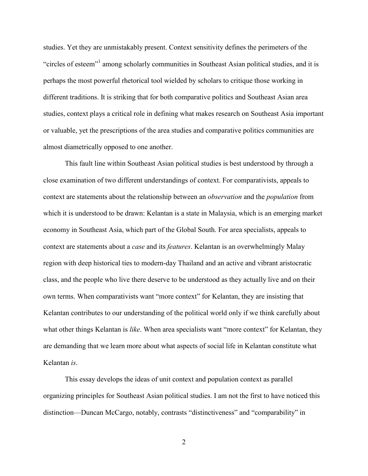studies. Yet they are unmistakably present. Context sensitivity defines the perimeters of the "circles of esteem"<sup>1</sup> among scholarly communities in Southeast Asian political studies, and it is perhaps the most powerful rhetorical tool wielded by scholars to critique those working in different traditions. It is striking that for both comparative politics and Southeast Asian area studies, context plays a critical role in defining what makes research on Southeast Asia important or valuable, yet the prescriptions of the area studies and comparative politics communities are almost diametrically opposed to one another.

This fault line within Southeast Asian political studies is best understood by through a close examination of two different understandings of context. For comparativists, appeals to context are statements about the relationship between an *observation* and the *population* from which it is understood to be drawn: Kelantan is a state in Malaysia, which is an emerging market economy in Southeast Asia, which part of the Global South. For area specialists, appeals to context are statements about a *case* and its *features*. Kelantan is an overwhelmingly Malay region with deep historical ties to modern-day Thailand and an active and vibrant aristocratic class, and the people who live there deserve to be understood as they actually live and on their own terms. When comparativists want "more context" for Kelantan, they are insisting that Kelantan contributes to our understanding of the political world only if we think carefully about what other things Kelantan is *like*. When area specialists want "more context" for Kelantan, they are demanding that we learn more about what aspects of social life in Kelantan constitute what Kelantan *is*.

This essay develops the ideas of unit context and population context as parallel organizing principles for Southeast Asian political studies. I am not the first to have noticed this distinction—Duncan McCargo, notably, contrasts "distinctiveness" and "comparability" in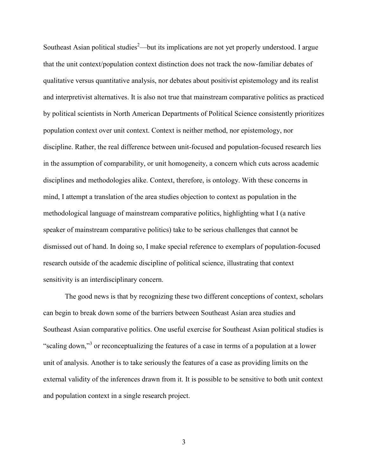Southeast Asian political studies<sup>2</sup>—but its implications are not yet properly understood. I argue that the unit context/population context distinction does not track the now-familiar debates of qualitative versus quantitative analysis, nor debates about positivist epistemology and its realist and interpretivist alternatives. It is also not true that mainstream comparative politics as practiced by political scientists in North American Departments of Political Science consistently prioritizes population context over unit context. Context is neither method, nor epistemology, nor discipline. Rather, the real difference between unit-focused and population-focused research lies in the assumption of comparability, or unit homogeneity, a concern which cuts across academic disciplines and methodologies alike. Context, therefore, is ontology. With these concerns in mind, I attempt a translation of the area studies objection to context as population in the methodological language of mainstream comparative politics, highlighting what I (a native speaker of mainstream comparative politics) take to be serious challenges that cannot be dismissed out of hand. In doing so, I make special reference to exemplars of population-focused research outside of the academic discipline of political science, illustrating that context sensitivity is an interdisciplinary concern.

The good news is that by recognizing these two different conceptions of context, scholars can begin to break down some of the barriers between Southeast Asian area studies and Southeast Asian comparative politics. One useful exercise for Southeast Asian political studies is "scaling down,"<sup>3</sup> or reconceptualizing the features of a case in terms of a population at a lower unit of analysis. Another is to take seriously the features of a case as providing limits on the external validity of the inferences drawn from it. It is possible to be sensitive to both unit context and population context in a single research project.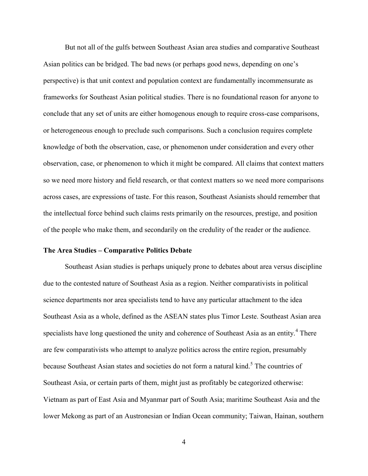But not all of the gulfs between Southeast Asian area studies and comparative Southeast Asian politics can be bridged. The bad news (or perhaps good news, depending on one's perspective) is that unit context and population context are fundamentally incommensurate as frameworks for Southeast Asian political studies. There is no foundational reason for anyone to conclude that any set of units are either homogenous enough to require cross-case comparisons, or heterogeneous enough to preclude such comparisons. Such a conclusion requires complete knowledge of both the observation, case, or phenomenon under consideration and every other observation, case, or phenomenon to which it might be compared. All claims that context matters so we need more history and field research, or that context matters so we need more comparisons across cases, are expressions of taste. For this reason, Southeast Asianists should remember that the intellectual force behind such claims rests primarily on the resources, prestige, and position of the people who make them, and secondarily on the credulity of the reader or the audience.

#### **The Area Studies – Comparative Politics Debate**

Southeast Asian studies is perhaps uniquely prone to debates about area versus discipline due to the contested nature of Southeast Asia as a region. Neither comparativists in political science departments nor area specialists tend to have any particular attachment to the idea Southeast Asia as a whole, defined as the ASEAN states plus Timor Leste. Southeast Asian area specialists have long questioned the unity and coherence of Southeast Asia as an entity.<sup>4</sup> There are few comparativists who attempt to analyze politics across the entire region, presumably because Southeast Asian states and societies do not form a natural kind.<sup>5</sup> The countries of Southeast Asia, or certain parts of them, might just as profitably be categorized otherwise: Vietnam as part of East Asia and Myanmar part of South Asia; maritime Southeast Asia and the lower Mekong as part of an Austronesian or Indian Ocean community; Taiwan, Hainan, southern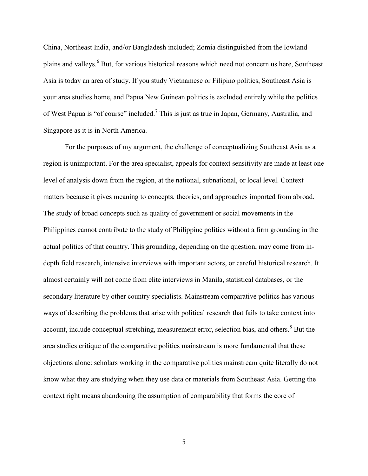China, Northeast India, and/or Bangladesh included; Zomia distinguished from the lowland plains and valleys.<sup>6</sup> But, for various historical reasons which need not concern us here, Southeast Asia is today an area of study. If you study Vietnamese or Filipino politics, Southeast Asia is your area studies home, and Papua New Guinean politics is excluded entirely while the politics of West Papua is "of course" included.<sup>7</sup> This is just as true in Japan, Germany, Australia, and Singapore as it is in North America.

For the purposes of my argument, the challenge of conceptualizing Southeast Asia as a region is unimportant. For the area specialist, appeals for context sensitivity are made at least one level of analysis down from the region, at the national, subnational, or local level. Context matters because it gives meaning to concepts, theories, and approaches imported from abroad. The study of broad concepts such as quality of government or social movements in the Philippines cannot contribute to the study of Philippine politics without a firm grounding in the actual politics of that country. This grounding, depending on the question, may come from indepth field research, intensive interviews with important actors, or careful historical research. It almost certainly will not come from elite interviews in Manila, statistical databases, or the secondary literature by other country specialists. Mainstream comparative politics has various ways of describing the problems that arise with political research that fails to take context into account, include conceptual stretching, measurement error, selection bias, and others.<sup>8</sup> But the area studies critique of the comparative politics mainstream is more fundamental that these objections alone: scholars working in the comparative politics mainstream quite literally do not know what they are studying when they use data or materials from Southeast Asia. Getting the context right means abandoning the assumption of comparability that forms the core of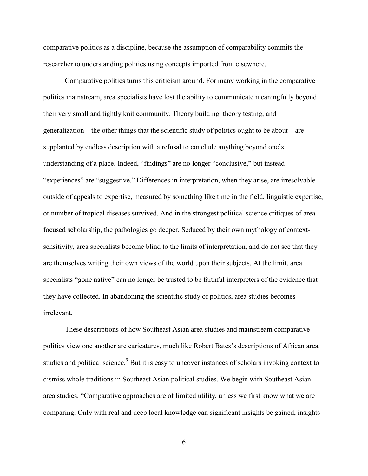comparative politics as a discipline, because the assumption of comparability commits the researcher to understanding politics using concepts imported from elsewhere.

Comparative politics turns this criticism around. For many working in the comparative politics mainstream, area specialists have lost the ability to communicate meaningfully beyond their very small and tightly knit community. Theory building, theory testing, and generalization—the other things that the scientific study of politics ought to be about—are supplanted by endless description with a refusal to conclude anything beyond one's understanding of a place. Indeed, "findings" are no longer "conclusive," but instead "experiences" are "suggestive." Differences in interpretation, when they arise, are irresolvable outside of appeals to expertise, measured by something like time in the field, linguistic expertise, or number of tropical diseases survived. And in the strongest political science critiques of areafocused scholarship, the pathologies go deeper. Seduced by their own mythology of contextsensitivity, area specialists become blind to the limits of interpretation, and do not see that they are themselves writing their own views of the world upon their subjects. At the limit, area specialists "gone native" can no longer be trusted to be faithful interpreters of the evidence that they have collected. In abandoning the scientific study of politics, area studies becomes irrelevant.

These descriptions of how Southeast Asian area studies and mainstream comparative politics view one another are caricatures, much like Robert Bates's descriptions of African area studies and political science.<sup>9</sup> But it is easy to uncover instances of scholars invoking context to dismiss whole traditions in Southeast Asian political studies. We begin with Southeast Asian area studies. "Comparative approaches are of limited utility, unless we first know what we are comparing. Only with real and deep local knowledge can significant insights be gained, insights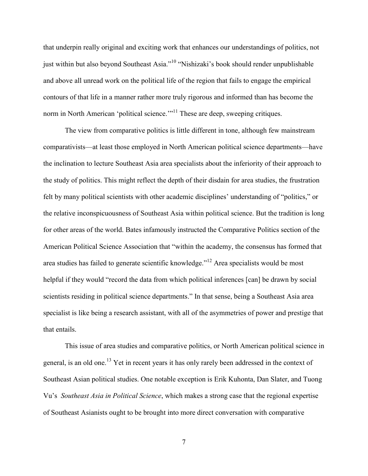that underpin really original and exciting work that enhances our understandings of politics, not just within but also beyond Southeast Asia."<sup>10</sup> "Nishizaki's book should render unpublishable and above all unread work on the political life of the region that fails to engage the empirical contours of that life in a manner rather more truly rigorous and informed than has become the norm in North American 'political science.'<sup>"11</sup> These are deep, sweeping critiques.

The view from comparative politics is little different in tone, although few mainstream comparativists—at least those employed in North American political science departments—have the inclination to lecture Southeast Asia area specialists about the inferiority of their approach to the study of politics. This might reflect the depth of their disdain for area studies, the frustration felt by many political scientists with other academic disciplines' understanding of "politics," or the relative inconspicuousness of Southeast Asia within political science. But the tradition is long for other areas of the world. Bates infamously instructed the Comparative Politics section of the American Political Science Association that "within the academy, the consensus has formed that area studies has failed to generate scientific knowledge."<sup>12</sup> Area specialists would be most helpful if they would "record the data from which political inferences [can] be drawn by social scientists residing in political science departments." In that sense, being a Southeast Asia area specialist is like being a research assistant, with all of the asymmetries of power and prestige that that entails.

This issue of area studies and comparative politics, or North American political science in general, is an old one.<sup>13</sup> Yet in recent years it has only rarely been addressed in the context of Southeast Asian political studies. One notable exception is Erik Kuhonta, Dan Slater, and Tuong Vu's *Southeast Asia in Political Science*, which makes a strong case that the regional expertise of Southeast Asianists ought to be brought into more direct conversation with comparative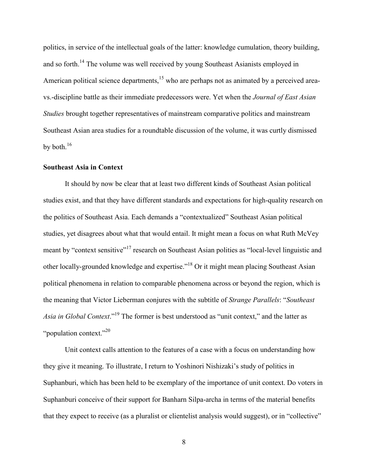politics, in service of the intellectual goals of the latter: knowledge cumulation, theory building, and so forth.<sup>14</sup> The volume was well received by young Southeast Asianists employed in American political science departments,<sup>15</sup> who are perhaps not as animated by a perceived areavs.-discipline battle as their immediate predecessors were. Yet when the *Journal of East Asian Studies* brought together representatives of mainstream comparative politics and mainstream Southeast Asian area studies for a roundtable discussion of the volume, it was curtly dismissed by both.<sup>16</sup>

#### **Southeast Asia in Context**

It should by now be clear that at least two different kinds of Southeast Asian political studies exist, and that they have different standards and expectations for high-quality research on the politics of Southeast Asia. Each demands a "contextualized" Southeast Asian political studies, yet disagrees about what that would entail. It might mean a focus on what Ruth McVey meant by "context sensitive"<sup>17</sup> research on Southeast Asian polities as "local-level linguistic and other locally-grounded knowledge and expertise."<sup>18</sup> Or it might mean placing Southeast Asian political phenomena in relation to comparable phenomena across or beyond the region, which is the meaning that Victor Lieberman conjures with the subtitle of *Strange Parallels*: "*Southeast Asia in Global Context*." <sup>19</sup> The former is best understood as "unit context," and the latter as "population context."<sup>20</sup>

Unit context calls attention to the features of a case with a focus on understanding how they give it meaning. To illustrate, I return to Yoshinori Nishizaki's study of politics in Suphanburi, which has been held to be exemplary of the importance of unit context. Do voters in Suphanburi conceive of their support for Banharn Silpa-archa in terms of the material benefits that they expect to receive (as a pluralist or clientelist analysis would suggest), or in "collective"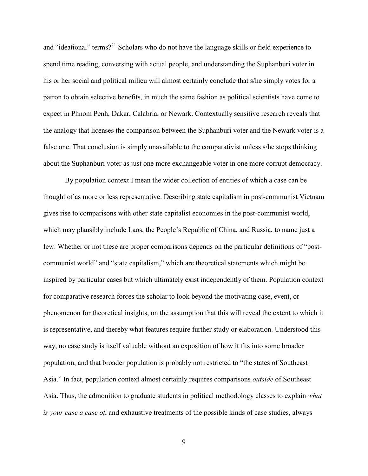and "ideational" terms?<sup>21</sup> Scholars who do not have the language skills or field experience to spend time reading, conversing with actual people, and understanding the Suphanburi voter in his or her social and political milieu will almost certainly conclude that s/he simply votes for a patron to obtain selective benefits, in much the same fashion as political scientists have come to expect in Phnom Penh, Dakar, Calabria, or Newark. Contextually sensitive research reveals that the analogy that licenses the comparison between the Suphanburi voter and the Newark voter is a false one. That conclusion is simply unavailable to the comparativist unless s/he stops thinking about the Suphanburi voter as just one more exchangeable voter in one more corrupt democracy.

By population context I mean the wider collection of entities of which a case can be thought of as more or less representative. Describing state capitalism in post-communist Vietnam gives rise to comparisons with other state capitalist economies in the post-communist world, which may plausibly include Laos, the People's Republic of China, and Russia, to name just a few. Whether or not these are proper comparisons depends on the particular definitions of "postcommunist world" and "state capitalism," which are theoretical statements which might be inspired by particular cases but which ultimately exist independently of them. Population context for comparative research forces the scholar to look beyond the motivating case, event, or phenomenon for theoretical insights, on the assumption that this will reveal the extent to which it is representative, and thereby what features require further study or elaboration. Understood this way, no case study is itself valuable without an exposition of how it fits into some broader population, and that broader population is probably not restricted to "the states of Southeast Asia." In fact, population context almost certainly requires comparisons *outside* of Southeast Asia. Thus, the admonition to graduate students in political methodology classes to explain *what is your case a case of*, and exhaustive treatments of the possible kinds of case studies, always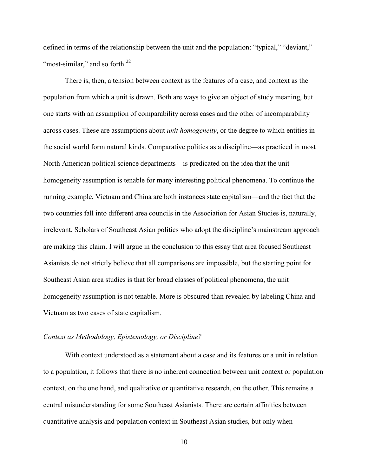defined in terms of the relationship between the unit and the population: "typical," "deviant," "most-similar," and so forth. $^{22}$ 

There is, then, a tension between context as the features of a case, and context as the population from which a unit is drawn. Both are ways to give an object of study meaning, but one starts with an assumption of comparability across cases and the other of incomparability across cases. These are assumptions about *unit homogeneity*, or the degree to which entities in the social world form natural kinds. Comparative politics as a discipline—as practiced in most North American political science departments—is predicated on the idea that the unit homogeneity assumption is tenable for many interesting political phenomena. To continue the running example, Vietnam and China are both instances state capitalism—and the fact that the two countries fall into different area councils in the Association for Asian Studies is, naturally, irrelevant. Scholars of Southeast Asian politics who adopt the discipline's mainstream approach are making this claim. I will argue in the conclusion to this essay that area focused Southeast Asianists do not strictly believe that all comparisons are impossible, but the starting point for Southeast Asian area studies is that for broad classes of political phenomena, the unit homogeneity assumption is not tenable. More is obscured than revealed by labeling China and Vietnam as two cases of state capitalism.

## *Context as Methodology, Epistemology, or Discipline?*

With context understood as a statement about a case and its features or a unit in relation to a population, it follows that there is no inherent connection between unit context or population context, on the one hand, and qualitative or quantitative research, on the other. This remains a central misunderstanding for some Southeast Asianists. There are certain affinities between quantitative analysis and population context in Southeast Asian studies, but only when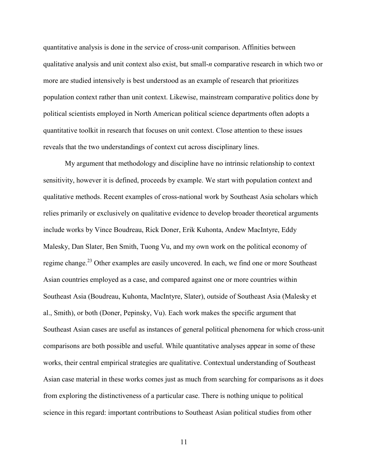quantitative analysis is done in the service of cross-unit comparison. Affinities between qualitative analysis and unit context also exist, but small-*n* comparative research in which two or more are studied intensively is best understood as an example of research that prioritizes population context rather than unit context. Likewise, mainstream comparative politics done by political scientists employed in North American political science departments often adopts a quantitative toolkit in research that focuses on unit context. Close attention to these issues reveals that the two understandings of context cut across disciplinary lines.

My argument that methodology and discipline have no intrinsic relationship to context sensitivity, however it is defined, proceeds by example. We start with population context and qualitative methods. Recent examples of cross-national work by Southeast Asia scholars which relies primarily or exclusively on qualitative evidence to develop broader theoretical arguments include works by Vince Boudreau, Rick Doner, Erik Kuhonta, Andew MacIntyre, Eddy Malesky, Dan Slater, Ben Smith, Tuong Vu, and my own work on the political economy of regime change.<sup>23</sup> Other examples are easily uncovered. In each, we find one or more Southeast Asian countries employed as a case, and compared against one or more countries within Southeast Asia (Boudreau, Kuhonta, MacIntyre, Slater), outside of Southeast Asia (Malesky et al., Smith), or both (Doner, Pepinsky, Vu). Each work makes the specific argument that Southeast Asian cases are useful as instances of general political phenomena for which cross-unit comparisons are both possible and useful. While quantitative analyses appear in some of these works, their central empirical strategies are qualitative. Contextual understanding of Southeast Asian case material in these works comes just as much from searching for comparisons as it does from exploring the distinctiveness of a particular case. There is nothing unique to political science in this regard: important contributions to Southeast Asian political studies from other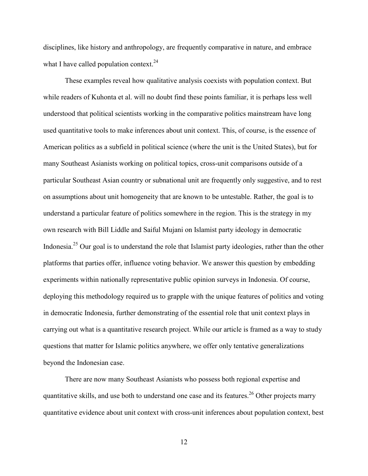disciplines, like history and anthropology, are frequently comparative in nature, and embrace what I have called population context. $24$ 

These examples reveal how qualitative analysis coexists with population context. But while readers of Kuhonta et al. will no doubt find these points familiar, it is perhaps less well understood that political scientists working in the comparative politics mainstream have long used quantitative tools to make inferences about unit context. This, of course, is the essence of American politics as a subfield in political science (where the unit is the United States), but for many Southeast Asianists working on political topics, cross-unit comparisons outside of a particular Southeast Asian country or subnational unit are frequently only suggestive, and to rest on assumptions about unit homogeneity that are known to be untestable. Rather, the goal is to understand a particular feature of politics somewhere in the region. This is the strategy in my own research with Bill Liddle and Saiful Mujani on Islamist party ideology in democratic Indonesia.<sup>25</sup> Our goal is to understand the role that Islamist party ideologies, rather than the other platforms that parties offer, influence voting behavior. We answer this question by embedding experiments within nationally representative public opinion surveys in Indonesia. Of course, deploying this methodology required us to grapple with the unique features of politics and voting in democratic Indonesia, further demonstrating of the essential role that unit context plays in carrying out what is a quantitative research project. While our article is framed as a way to study questions that matter for Islamic politics anywhere, we offer only tentative generalizations beyond the Indonesian case.

There are now many Southeast Asianists who possess both regional expertise and quantitative skills, and use both to understand one case and its features.<sup>26</sup> Other projects marry quantitative evidence about unit context with cross-unit inferences about population context, best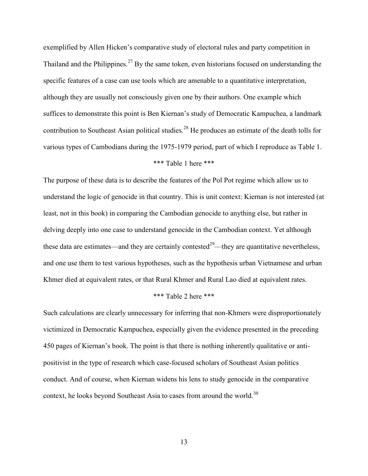exemplified by Allen Hicken's comparative study of electoral rules and party competition in Thailand and the Philippines.<sup>27</sup> By the same token, even historians focused on understanding the specific features of a case can use tools which are amenable to a quantitative interpretation, although they are usually not consciously given one by their authors. One example which suffices to demonstrate this point is Ben Kiernan's study of Democratic Kampuchea, a landmark contribution to Southeast Asian political studies.<sup>28</sup> He produces an estimate of the death tolls for various types of Cambodians during the 1975-1979 period, part of which I reproduce as [Table 1.](#page-29-0)

# \*\*\* [Table 1](#page-29-0) here \*\*\*

The purpose of these data is to describe the features of the Pol Pot regime which allow us to understand the logic of genocide in that country. This is unit context: Kiernan is not interested (at least, not in this book) in comparing the Cambodian genocide to anything else, but rather in delving deeply into one case to understand genocide in the Cambodian context. Yet although these data are estimates—and they are certainly contested<sup>29</sup>—they are quantitative nevertheless, and one use them to test various hypotheses, such as the hypothesis urban Vietnamese and urban Khmer died at equivalent rates, or that Rural Khmer and Rural Lao died at equivalent rates.

#### \*\*\* [Table 2](#page-30-0) here \*\*\*

Such calculations are clearly unnecessary for inferring that non-Khmers were disproportionately victimized in Democratic Kampuchea, especially given the evidence presented in the preceding 450 pages of Kiernan's book. The point is that there is nothing inherently qualitative or antipositivist in the type of research which case-focused scholars of Southeast Asian politics conduct. And of course, when Kiernan widens his lens to study genocide in the comparative context, he looks beyond Southeast Asia to cases from around the world.<sup>30</sup>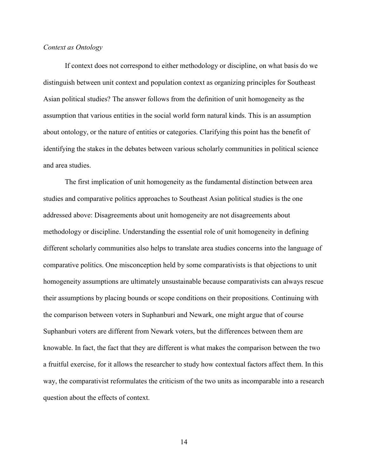## *Context as Ontology*

If context does not correspond to either methodology or discipline, on what basis do we distinguish between unit context and population context as organizing principles for Southeast Asian political studies? The answer follows from the definition of unit homogeneity as the assumption that various entities in the social world form natural kinds. This is an assumption about ontology, or the nature of entities or categories. Clarifying this point has the benefit of identifying the stakes in the debates between various scholarly communities in political science and area studies.

The first implication of unit homogeneity as the fundamental distinction between area studies and comparative politics approaches to Southeast Asian political studies is the one addressed above: Disagreements about unit homogeneity are not disagreements about methodology or discipline. Understanding the essential role of unit homogeneity in defining different scholarly communities also helps to translate area studies concerns into the language of comparative politics. One misconception held by some comparativists is that objections to unit homogeneity assumptions are ultimately unsustainable because comparativists can always rescue their assumptions by placing bounds or scope conditions on their propositions. Continuing with the comparison between voters in Suphanburi and Newark, one might argue that of course Suphanburi voters are different from Newark voters, but the differences between them are knowable. In fact, the fact that they are different is what makes the comparison between the two a fruitful exercise, for it allows the researcher to study how contextual factors affect them. In this way, the comparativist reformulates the criticism of the two units as incomparable into a research question about the effects of context.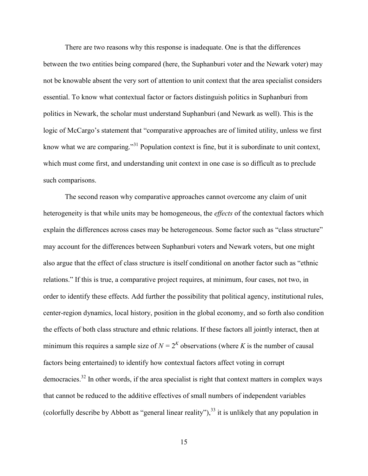There are two reasons why this response is inadequate. One is that the differences between the two entities being compared (here, the Suphanburi voter and the Newark voter) may not be knowable absent the very sort of attention to unit context that the area specialist considers essential. To know what contextual factor or factors distinguish politics in Suphanburi from politics in Newark, the scholar must understand Suphanburi (and Newark as well). This is the logic of McCargo's statement that "comparative approaches are of limited utility, unless we first know what we are comparing."<sup>31</sup> Population context is fine, but it is subordinate to unit context, which must come first, and understanding unit context in one case is so difficult as to preclude such comparisons.

The second reason why comparative approaches cannot overcome any claim of unit heterogeneity is that while units may be homogeneous, the *effects* of the contextual factors which explain the differences across cases may be heterogeneous. Some factor such as "class structure" may account for the differences between Suphanburi voters and Newark voters, but one might also argue that the effect of class structure is itself conditional on another factor such as "ethnic relations." If this is true, a comparative project requires, at minimum, four cases, not two, in order to identify these effects. Add further the possibility that political agency, institutional rules, center-region dynamics, local history, position in the global economy, and so forth also condition the effects of both class structure and ethnic relations. If these factors all jointly interact, then at minimum this requires a sample size of  $N = 2<sup>K</sup>$  observations (where *K* is the number of causal factors being entertained) to identify how contextual factors affect voting in corrupt democracies.<sup>32</sup> In other words, if the area specialist is right that context matters in complex ways that cannot be reduced to the additive effectives of small numbers of independent variables (colorfully describe by Abbott as "general linear reality"), $^{33}$  it is unlikely that any population in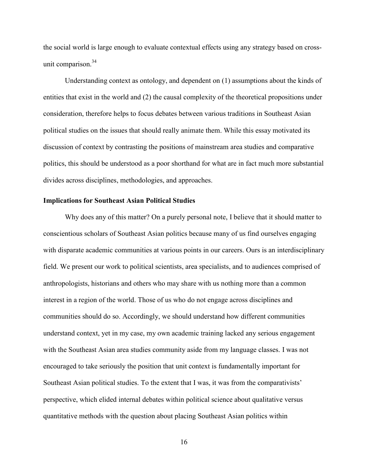the social world is large enough to evaluate contextual effects using any strategy based on crossunit comparison.<sup>34</sup>

Understanding context as ontology, and dependent on (1) assumptions about the kinds of entities that exist in the world and (2) the causal complexity of the theoretical propositions under consideration, therefore helps to focus debates between various traditions in Southeast Asian political studies on the issues that should really animate them. While this essay motivated its discussion of context by contrasting the positions of mainstream area studies and comparative politics, this should be understood as a poor shorthand for what are in fact much more substantial divides across disciplines, methodologies, and approaches.

#### **Implications for Southeast Asian Political Studies**

Why does any of this matter? On a purely personal note, I believe that it should matter to conscientious scholars of Southeast Asian politics because many of us find ourselves engaging with disparate academic communities at various points in our careers. Ours is an interdisciplinary field. We present our work to political scientists, area specialists, and to audiences comprised of anthropologists, historians and others who may share with us nothing more than a common interest in a region of the world. Those of us who do not engage across disciplines and communities should do so. Accordingly, we should understand how different communities understand context, yet in my case, my own academic training lacked any serious engagement with the Southeast Asian area studies community aside from my language classes. I was not encouraged to take seriously the position that unit context is fundamentally important for Southeast Asian political studies. To the extent that I was, it was from the comparativists' perspective, which elided internal debates within political science about qualitative versus quantitative methods with the question about placing Southeast Asian politics within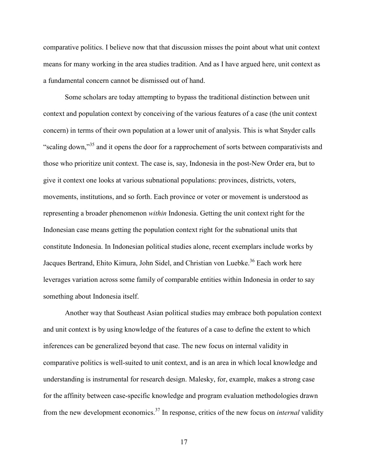comparative politics. I believe now that that discussion misses the point about what unit context means for many working in the area studies tradition. And as I have argued here, unit context as a fundamental concern cannot be dismissed out of hand.

Some scholars are today attempting to bypass the traditional distinction between unit context and population context by conceiving of the various features of a case (the unit context concern) in terms of their own population at a lower unit of analysis. This is what Snyder calls "scaling down,"<sup>35</sup> and it opens the door for a rapprochement of sorts between comparativists and those who prioritize unit context. The case is, say, Indonesia in the post-New Order era, but to give it context one looks at various subnational populations: provinces, districts, voters, movements, institutions, and so forth. Each province or voter or movement is understood as representing a broader phenomenon *within* Indonesia. Getting the unit context right for the Indonesian case means getting the population context right for the subnational units that constitute Indonesia. In Indonesian political studies alone, recent exemplars include works by Jacques Bertrand, Ehito Kimura, John Sidel, and Christian von Luebke.<sup>36</sup> Each work here leverages variation across some family of comparable entities within Indonesia in order to say something about Indonesia itself.

Another way that Southeast Asian political studies may embrace both population context and unit context is by using knowledge of the features of a case to define the extent to which inferences can be generalized beyond that case. The new focus on internal validity in comparative politics is well-suited to unit context, and is an area in which local knowledge and understanding is instrumental for research design. Malesky, for, example, makes a strong case for the affinity between case-specific knowledge and program evaluation methodologies drawn from the new development economics. <sup>37</sup> In response, critics of the new focus on *internal* validity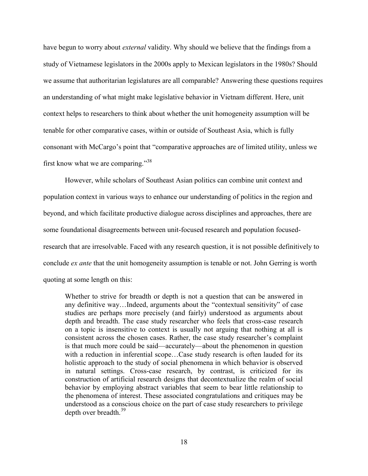have begun to worry about *external* validity. Why should we believe that the findings from a study of Vietnamese legislators in the 2000s apply to Mexican legislators in the 1980s? Should we assume that authoritarian legislatures are all comparable? Answering these questions requires an understanding of what might make legislative behavior in Vietnam different. Here, unit context helps to researchers to think about whether the unit homogeneity assumption will be tenable for other comparative cases, within or outside of Southeast Asia, which is fully consonant with McCargo's point that "comparative approaches are of limited utility, unless we first know what we are comparing."<sup>38</sup>

However, while scholars of Southeast Asian politics can combine unit context and population context in various ways to enhance our understanding of politics in the region and beyond, and which facilitate productive dialogue across disciplines and approaches, there are some foundational disagreements between unit-focused research and population focusedresearch that are irresolvable. Faced with any research question, it is not possible definitively to conclude *ex ante* that the unit homogeneity assumption is tenable or not. John Gerring is worth quoting at some length on this:

Whether to strive for breadth or depth is not a question that can be answered in any definitive way…Indeed, arguments about the "contextual sensitivity" of case studies are perhaps more precisely (and fairly) understood as arguments about depth and breadth. The case study researcher who feels that cross-case research on a topic is insensitive to context is usually not arguing that nothing at all is consistent across the chosen cases. Rather, the case study researcher's complaint is that much more could be said—accurately—about the phenomenon in question with a reduction in inferential scope...Case study research is often lauded for its holistic approach to the study of social phenomena in which behavior is observed in natural settings. Cross-case research, by contrast, is criticized for its construction of artificial research designs that decontextualize the realm of social behavior by employing abstract variables that seem to bear little relationship to the phenomena of interest. These associated congratulations and critiques may be understood as a conscious choice on the part of case study researchers to privilege depth over breadth. $39$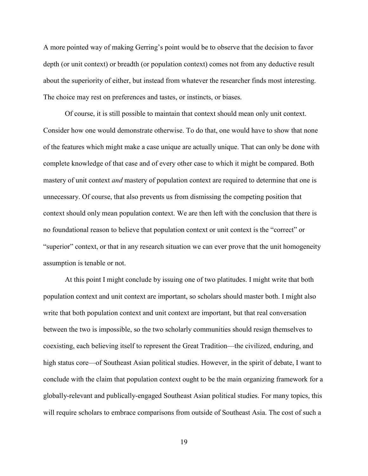A more pointed way of making Gerring's point would be to observe that the decision to favor depth (or unit context) or breadth (or population context) comes not from any deductive result about the superiority of either, but instead from whatever the researcher finds most interesting. The choice may rest on preferences and tastes, or instincts, or biases.

Of course, it is still possible to maintain that context should mean only unit context. Consider how one would demonstrate otherwise. To do that, one would have to show that none of the features which might make a case unique are actually unique. That can only be done with complete knowledge of that case and of every other case to which it might be compared. Both mastery of unit context *and* mastery of population context are required to determine that one is unnecessary. Of course, that also prevents us from dismissing the competing position that context should only mean population context. We are then left with the conclusion that there is no foundational reason to believe that population context or unit context is the "correct" or "superior" context, or that in any research situation we can ever prove that the unit homogeneity assumption is tenable or not.

At this point I might conclude by issuing one of two platitudes. I might write that both population context and unit context are important, so scholars should master both. I might also write that both population context and unit context are important, but that real conversation between the two is impossible, so the two scholarly communities should resign themselves to coexisting, each believing itself to represent the Great Tradition—the civilized, enduring, and high status core—of Southeast Asian political studies. However, in the spirit of debate, I want to conclude with the claim that population context ought to be the main organizing framework for a globally-relevant and publically-engaged Southeast Asian political studies. For many topics, this will require scholars to embrace comparisons from outside of Southeast Asia. The cost of such a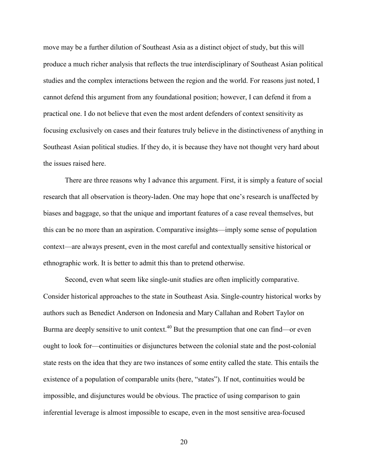move may be a further dilution of Southeast Asia as a distinct object of study, but this will produce a much richer analysis that reflects the true interdisciplinary of Southeast Asian political studies and the complex interactions between the region and the world. For reasons just noted, I cannot defend this argument from any foundational position; however, I can defend it from a practical one. I do not believe that even the most ardent defenders of context sensitivity as focusing exclusively on cases and their features truly believe in the distinctiveness of anything in Southeast Asian political studies. If they do, it is because they have not thought very hard about the issues raised here.

There are three reasons why I advance this argument. First, it is simply a feature of social research that all observation is theory-laden. One may hope that one's research is unaffected by biases and baggage, so that the unique and important features of a case reveal themselves, but this can be no more than an aspiration. Comparative insights—imply some sense of population context—are always present, even in the most careful and contextually sensitive historical or ethnographic work. It is better to admit this than to pretend otherwise.

Second, even what seem like single-unit studies are often implicitly comparative. Consider historical approaches to the state in Southeast Asia. Single-country historical works by authors such as Benedict Anderson on Indonesia and Mary Callahan and Robert Taylor on Burma are deeply sensitive to unit context.<sup>40</sup> But the presumption that one can find—or even ought to look for—continuities or disjunctures between the colonial state and the post-colonial state rests on the idea that they are two instances of some entity called the state. This entails the existence of a population of comparable units (here, "states"). If not, continuities would be impossible, and disjunctures would be obvious. The practice of using comparison to gain inferential leverage is almost impossible to escape, even in the most sensitive area-focused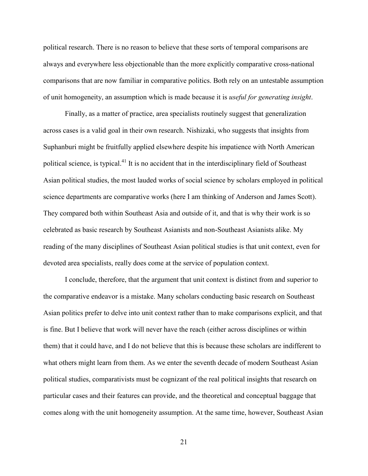political research. There is no reason to believe that these sorts of temporal comparisons are always and everywhere less objectionable than the more explicitly comparative cross-national comparisons that are now familiar in comparative politics. Both rely on an untestable assumption of unit homogeneity, an assumption which is made because it is *useful for generating insight*.

Finally, as a matter of practice, area specialists routinely suggest that generalization across cases is a valid goal in their own research. Nishizaki, who suggests that insights from Suphanburi might be fruitfully applied elsewhere despite his impatience with North American political science, is typical.<sup>41</sup> It is no accident that in the interdisciplinary field of Southeast Asian political studies, the most lauded works of social science by scholars employed in political science departments are comparative works (here I am thinking of Anderson and James Scott). They compared both within Southeast Asia and outside of it, and that is why their work is so celebrated as basic research by Southeast Asianists and non-Southeast Asianists alike. My reading of the many disciplines of Southeast Asian political studies is that unit context, even for devoted area specialists, really does come at the service of population context.

I conclude, therefore, that the argument that unit context is distinct from and superior to the comparative endeavor is a mistake. Many scholars conducting basic research on Southeast Asian politics prefer to delve into unit context rather than to make comparisons explicit, and that is fine. But I believe that work will never have the reach (either across disciplines or within them) that it could have, and I do not believe that this is because these scholars are indifferent to what others might learn from them. As we enter the seventh decade of modern Southeast Asian political studies, comparativists must be cognizant of the real political insights that research on particular cases and their features can provide, and the theoretical and conceptual baggage that comes along with the unit homogeneity assumption. At the same time, however, Southeast Asian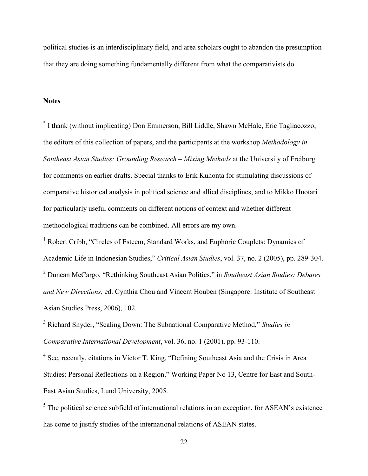political studies is an interdisciplinary field, and area scholars ought to abandon the presumption that they are doing something fundamentally different from what the comparativists do.

## **Notes**

\* I thank (without implicating) Don Emmerson, Bill Liddle, Shawn McHale, Eric Tagliacozzo, the editors of this collection of papers, and the participants at the workshop *Methodology in Southeast Asian Studies: Grounding Research – Mixing Methods* at the University of Freiburg for comments on earlier drafts. Special thanks to Erik Kuhonta for stimulating discussions of comparative historical analysis in political science and allied disciplines, and to Mikko Huotari for particularly useful comments on different notions of context and whether different methodological traditions can be combined. All errors are my own.

<sup>1</sup> Robert Cribb, "Circles of Esteem, Standard Works, and Euphoric Couplets: Dynamics of Academic Life in Indonesian Studies," *Critical Asian Studies*, vol. 37, no. 2 (2005), pp. 289-304. <sup>2</sup> Duncan McCargo, "Rethinking Southeast Asian Politics," in *Southeast Asian Studies: Debates and New Directions*, ed. Cynthia Chou and Vincent Houben (Singapore: Institute of Southeast Asian Studies Press, 2006), 102.

<sup>3</sup> Richard Snyder, "Scaling Down: The Subnational Comparative Method," *Studies in Comparative International Development*, vol. 36, no. 1 (2001), pp. 93-110.

<sup>4</sup> See, recently, citations in Victor T. King, "Defining Southeast Asia and the Crisis in Area Studies: Personal Reflections on a Region," Working Paper No 13, Centre for East and South-East Asian Studies, Lund University, 2005.

 $<sup>5</sup>$  The political science subfield of international relations in an exception, for ASEAN's existence</sup> has come to justify studies of the international relations of ASEAN states.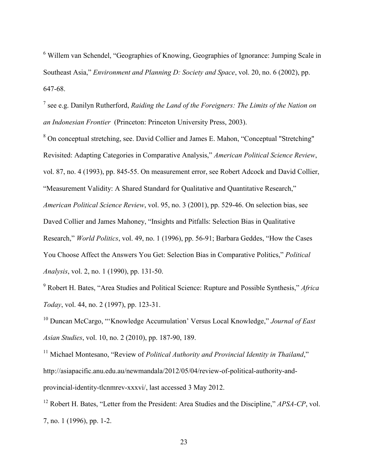<sup>6</sup> Willem van Schendel, "Geographies of Knowing, Geographies of Ignorance: Jumping Scale in Southeast Asia," *Environment and Planning D: Society and Space*, vol. 20, no. 6 (2002), pp. 647-68.

7 see e.g. Danilyn Rutherford, *Raiding the Land of the Foreigners: The Limits of the Nation on an Indonesian Frontier* (Princeton: Princeton University Press, 2003).

<sup>8</sup> On conceptual stretching, see. David Collier and James E. Mahon, "Conceptual "Stretching" Revisited: Adapting Categories in Comparative Analysis," *American Political Science Review*, vol. 87, no. 4 (1993), pp. 845-55. On measurement error, see Robert Adcock and David Collier, "Measurement Validity: A Shared Standard for Qualitative and Quantitative Research," *American Political Science Review*, vol. 95, no. 3 (2001), pp. 529-46. On selection bias, see Daved Collier and James Mahoney, "Insights and Pitfalls: Selection Bias in Qualitative Research," *World Politics*, vol. 49, no. 1 (1996), pp. 56-91; Barbara Geddes, "How the Cases You Choose Affect the Answers You Get: Selection Bias in Comparative Politics," *Political Analysis*, vol. 2, no. 1 (1990), pp. 131-50.

<sup>9</sup> Robert H. Bates, "Area Studies and Political Science: Rupture and Possible Synthesis," *Africa Today*, vol. 44, no. 2 (1997), pp. 123-31.

<sup>10</sup> Duncan McCargo, "'Knowledge Accumulation' Versus Local Knowledge," *Journal of East Asian Studies*, vol. 10, no. 2 (2010), pp. 187-90, 189.

<sup>11</sup> Michael Montesano, "Review of *Political Authority and Provincial Identity in Thailand*," http://asiapacific.anu.edu.au/newmandala/2012/05/04/review-of-political-authority-andprovincial-identity-tlcnmrev-xxxvi/, last accessed 3 May 2012.

<sup>12</sup> Robert H. Bates, "Letter from the President: Area Studies and the Discipline," *APSA-CP*, vol. 7, no. 1 (1996), pp. 1-2.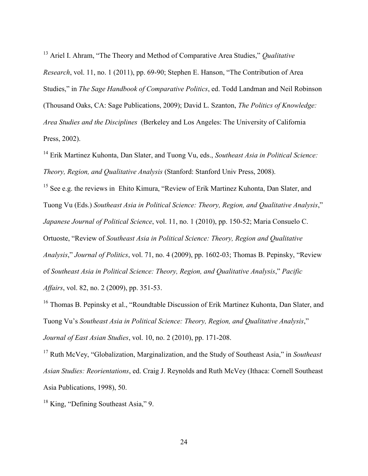<sup>13</sup> Ariel I. Ahram, "The Theory and Method of Comparative Area Studies," *Qualitative Research*, vol. 11, no. 1 (2011), pp. 69-90; Stephen E. Hanson, "The Contribution of Area Studies," in *The Sage Handbook of Comparative Politics*, ed. Todd Landman and Neil Robinson (Thousand Oaks, CA: Sage Publications, 2009); David L. Szanton, *The Politics of Knowledge: Area Studies and the Disciplines* (Berkeley and Los Angeles: The University of California Press, 2002).

<sup>14</sup> Erik Martinez Kuhonta, Dan Slater, and Tuong Vu, eds., *Southeast Asia in Political Science: Theory, Region, and Qualitative Analysis* (Stanford: Stanford Univ Press, 2008).

<sup>15</sup> See e.g. the reviews in Ehito Kimura, "Review of Erik Martinez Kuhonta, Dan Slater, and Tuong Vu (Eds.) *Southeast Asia in Political Science: Theory, Region, and Qualitative Analysis*," *Japanese Journal of Political Science*, vol. 11, no. 1 (2010), pp. 150-52; Maria Consuelo C. Ortuoste, "Review of *Southeast Asia in Political Science: Theory, Region and Qualitative Analysis*," *Journal of Politics*, vol. 71, no. 4 (2009), pp. 1602-03; Thomas B. Pepinsky, "Review of *Southeast Asia in Political Science: Theory, Region, and Qualitative Analysis*," *Pacific Affairs*, vol. 82, no. 2 (2009), pp. 351-53.

<sup>16</sup> Thomas B. Pepinsky et al., "Roundtable Discussion of Erik Martinez Kuhonta, Dan Slater, and Tuong Vu's *Southeast Asia in Political Science: Theory, Region, and Qualitative Analysis*," *Journal of East Asian Studies*, vol. 10, no. 2 (2010), pp. 171-208.

<sup>17</sup> Ruth McVey, "Globalization, Marginalization, and the Study of Southeast Asia," in *Southeast Asian Studies: Reorientations*, ed. Craig J. Reynolds and Ruth McVey (Ithaca: Cornell Southeast Asia Publications, 1998), 50.

<sup>18</sup> King, "Defining Southeast Asia," 9.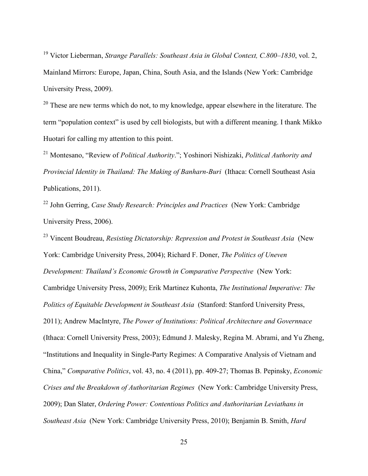<sup>19</sup> Victor Lieberman, *Strange Parallels: Southeast Asia in Global Context, C.800–1830*, vol. 2, Mainland Mirrors: Europe, Japan, China, South Asia, and the Islands (New York: Cambridge University Press, 2009).

 $20$  These are new terms which do not, to my knowledge, appear elsewhere in the literature. The term "population context" is used by cell biologists, but with a different meaning. I thank Mikko Huotari for calling my attention to this point.

<sup>21</sup> Montesano, "Review of *Political Authority*."; Yoshinori Nishizaki, *Political Authority and Provincial Identity in Thailand: The Making of Banharn-Buri* (Ithaca: Cornell Southeast Asia Publications, 2011).

<sup>22</sup> John Gerring, *Case Study Research: Principles and Practices* (New York: Cambridge University Press, 2006).

<sup>23</sup> Vincent Boudreau, *Resisting Dictatorship: Repression and Protest in Southeast Asia* (New York: Cambridge University Press, 2004); Richard F. Doner, *The Politics of Uneven Development: Thailand's Economic Growth in Comparative Perspective* (New York: Cambridge University Press, 2009); Erik Martinez Kuhonta, *The Institutional Imperative: The Politics of Equitable Development in Southeast Asia* (Stanford: Stanford University Press, 2011); Andrew MacIntyre, *The Power of Institutions: Political Architecture and Governnace* (Ithaca: Cornell University Press, 2003); Edmund J. Malesky, Regina M. Abrami, and Yu Zheng, "Institutions and Inequality in Single-Party Regimes: A Comparative Analysis of Vietnam and China," *Comparative Politics*, vol. 43, no. 4 (2011), pp. 409-27; Thomas B. Pepinsky, *Economic Crises and the Breakdown of Authoritarian Regimes* (New York: Cambridge University Press, 2009); Dan Slater, *Ordering Power: Contentious Politics and Authoritarian Leviathans in Southeast Asia* (New York: Cambridge University Press, 2010); Benjamin B. Smith, *Hard*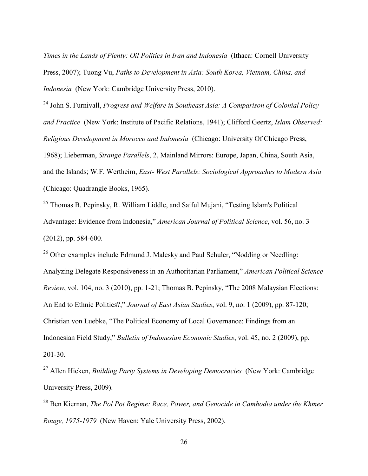*Times in the Lands of Plenty: Oil Politics in Iran and Indonesia* (Ithaca: Cornell University Press, 2007); Tuong Vu, *Paths to Development in Asia: South Korea, Vietnam, China, and Indonesia* (New York: Cambridge University Press, 2010).

<sup>24</sup> John S. Furnivall, *Progress and Welfare in Southeast Asia: A Comparison of Colonial Policy and Practice* (New York: Institute of Pacific Relations, 1941); Clifford Geertz, *Islam Observed: Religious Development in Morocco and Indonesia* (Chicago: University Of Chicago Press,

1968); Lieberman, *Strange Parallels*, 2, Mainland Mirrors: Europe, Japan, China, South Asia, and the Islands; W.F. Wertheim, *East- West Parallels: Sociological Approaches to Modern Asia* (Chicago: Quadrangle Books, 1965).

<sup>25</sup> Thomas B. Pepinsky, R. William Liddle, and Saiful Mujani, "Testing Islam's Political Advantage: Evidence from Indonesia," *American Journal of Political Science*, vol. 56, no. 3 (2012), pp. 584-600.

<sup>26</sup> Other examples include Edmund J. Malesky and Paul Schuler, "Nodding or Needling: Analyzing Delegate Responsiveness in an Authoritarian Parliament," *American Political Science Review*, vol. 104, no. 3 (2010), pp. 1-21; Thomas B. Pepinsky, "The 2008 Malaysian Elections: An End to Ethnic Politics?," *Journal of East Asian Studies*, vol. 9, no. 1 (2009), pp. 87-120; Christian von Luebke, "The Political Economy of Local Governance: Findings from an Indonesian Field Study," *Bulletin of Indonesian Economic Studies*, vol. 45, no. 2 (2009), pp. 201-30.

<sup>27</sup> Allen Hicken, *Building Party Systems in Developing Democracies* (New York: Cambridge University Press, 2009).

<sup>28</sup> Ben Kiernan, *The Pol Pot Regime: Race, Power, and Genocide in Cambodia under the Khmer Rouge, 1975-1979* (New Haven: Yale University Press, 2002).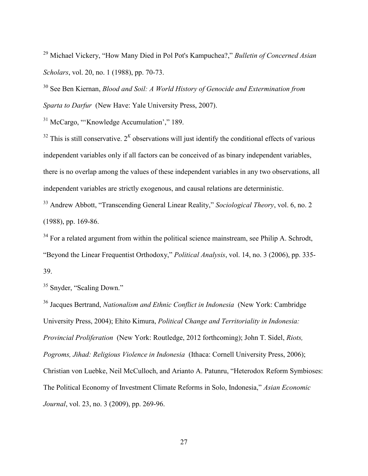<sup>29</sup> Michael Vickery, "How Many Died in Pol Pot's Kampuchea?," *Bulletin of Concerned Asian Scholars*, vol. 20, no. 1 (1988), pp. 70-73.

<sup>30</sup> See Ben Kiernan, *Blood and Soil: A World History of Genocide and Extermination from Sparta to Darfur* (New Have: Yale University Press, 2007).

<sup>31</sup> McCargo, "'Knowledge Accumulation'," 189.

 $32$  This is still conservative.  $2<sup>K</sup>$  observations will just identify the conditional effects of various independent variables only if all factors can be conceived of as binary independent variables, there is no overlap among the values of these independent variables in any two observations, all independent variables are strictly exogenous, and causal relations are deterministic.

<sup>33</sup> Andrew Abbott, "Transcending General Linear Reality," *Sociological Theory*, vol. 6, no. 2 (1988), pp. 169-86.

 $34$  For a related argument from within the political science mainstream, see Philip A. Schrodt, "Beyond the Linear Frequentist Orthodoxy," *Political Analysis*, vol. 14, no. 3 (2006), pp. 335- 39.

<sup>35</sup> Snyder, "Scaling Down."

<sup>36</sup> Jacques Bertrand, *Nationalism and Ethnic Conflict in Indonesia* (New York: Cambridge University Press, 2004); Ehito Kimura, *Political Change and Territoriality in Indonesia: Provincial Proliferation* (New York: Routledge, 2012 forthcoming); John T. Sidel, *Riots, Pogroms, Jihad: Religious Violence in Indonesia* (Ithaca: Cornell University Press, 2006); Christian von Luebke, Neil McCulloch, and Arianto A. Patunru, "Heterodox Reform Symbioses: The Political Economy of Investment Climate Reforms in Solo, Indonesia," *Asian Economic Journal*, vol. 23, no. 3 (2009), pp. 269-96.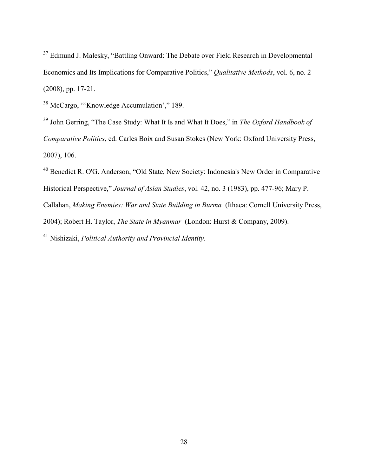<sup>37</sup> Edmund J. Malesky, "Battling Onward: The Debate over Field Research in Developmental Economics and Its Implications for Comparative Politics," *Qualitative Methods*, vol. 6, no. 2 (2008), pp. 17-21.

<sup>38</sup> McCargo, "'Knowledge Accumulation'," 189.

<sup>39</sup> John Gerring, "The Case Study: What It Is and What It Does," in *The Oxford Handbook of Comparative Politics*, ed. Carles Boix and Susan Stokes (New York: Oxford University Press, 2007), 106.

<sup>40</sup> Benedict R. O'G. Anderson, "Old State, New Society: Indonesia's New Order in Comparative Historical Perspective," *Journal of Asian Studies*, vol. 42, no. 3 (1983), pp. 477-96; Mary P. Callahan, *Making Enemies: War and State Building in Burma* (Ithaca: Cornell University Press, 2004); Robert H. Taylor, *The State in Myanmar* (London: Hurst & Company, 2009). <sup>41</sup> Nishizaki, *Political Authority and Provincial Identity*.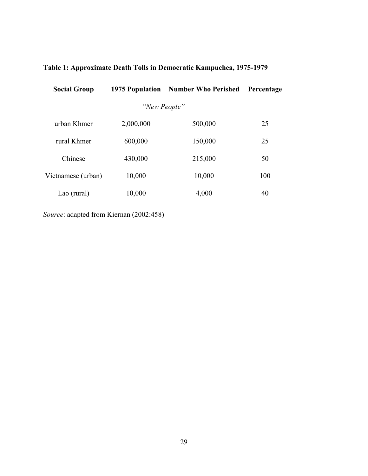| <b>Social Group</b> |           | 1975 Population Number Who Perished | Percentage |  |  |  |  |
|---------------------|-----------|-------------------------------------|------------|--|--|--|--|
| "New People"        |           |                                     |            |  |  |  |  |
| urban Khmer         | 2,000,000 | 500,000                             | 25         |  |  |  |  |
| rural Khmer         | 600,000   | 150,000                             | 25         |  |  |  |  |
| Chinese             | 430,000   | 215,000                             | 50         |  |  |  |  |
| Vietnamese (urban)  | 10,000    | 10,000                              | 100        |  |  |  |  |
| Lao (rural)         | 10,000    | 4,000                               | 40         |  |  |  |  |

<span id="page-29-0"></span>**Table 1: Approximate Death Tolls in Democratic Kampuchea, 1975-1979**

*Source*: adapted from Kiernan (2002:458)